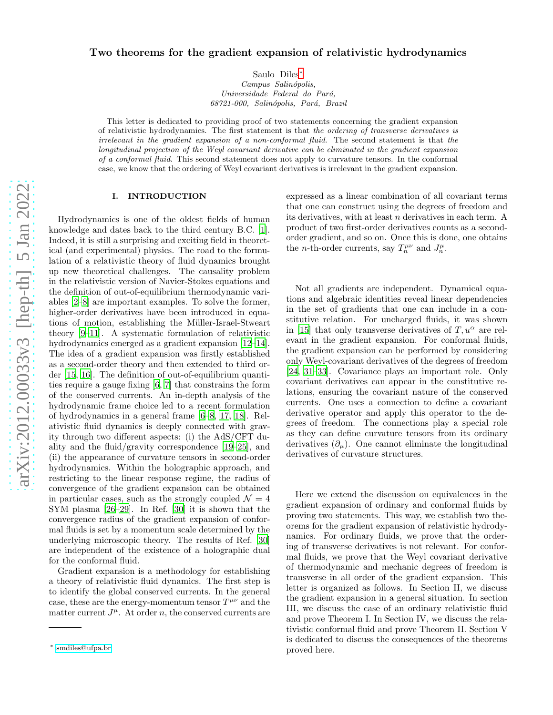## Two theorems for the gradient expansion of relativistic hydrodynamics

Saulo Diles [∗](#page-0-0) *Campus Salin´opolis, Universidade Federal do Par´a, 68721-000, Salin´opolis, Par´a, Brazil*

This letter is dedicated to providing proof of two statements concerning the gradient expansion of relativistic hydrodynamics. The first statement is that *the ordering of transverse derivatives is irrelevant in the gradient expansion of a non-conformal flui d*. The second statement is that *the longitudinal projection of the Weyl covariant derivative can be eliminated in the gradient expansion of a conformal fluid*. This second statement does not apply to curvature tensors. In the conformal case, we know that the ordering of Weyl covariant derivatives is irrelevant in the gradient expansion.

## I. INTRODUCTION

Hydrodynamics is one of the oldest fields of human knowledge and dates back to the third century B.C. [\[1\]](#page-4-0). Indeed, it is still a surprising and exciting field in theoretical (and experimental) physics. The road to the formulation of a relativistic theory of fluid dynamics brought up new theoretical challenges. The causality problem in the relativistic version of Navier-Stokes equations and the definition of out-of-equilibrium thermodynamic variables [\[2](#page-4-1)[–8\]](#page-5-0) are important examples. To solve the former, higher-order derivatives have been introduced in equations of motion, establishing the Müller-Israel-Stweart theory [\[9](#page-5-1)[–11](#page-5-2)]. A systematic formulation of relativistic hydrodynamics emerged as a gradient expansion [\[12](#page-5-3)[–14\]](#page-5-4). The idea of a gradient expansion was firstly established as a second-order theory and then extended to third order [\[15,](#page-5-5) [16\]](#page-5-6). The definition of out-of-equilibrium quantities require a gauge fixing [\[6,](#page-5-7) [7\]](#page-5-8) that constrains the form of the conserved currents. An in-depth analysis of the hydrodynamic frame choice led to a recent formulation of hydrodynamics in a general frame [\[6](#page-5-7)[–8](#page-5-0), [17,](#page-5-9) [18\]](#page-5-10). Relativistic fluid dynamics is deeply connected with gravity through two different aspects: (i) the AdS/CFT duality and the fluid/gravity correspondence [\[19](#page-5-11)[–25](#page-5-12)], and (ii) the appearance of curvature tensors in second-order hydrodynamics. Within the holographic approach, and restricting to the linear response regime, the radius of convergence of the gradient expansion can be obtained in particular cases, such as the strongly coupled  $\mathcal{N}=4$ SYM plasma [\[26](#page-5-13)[–29\]](#page-5-14). In Ref. [\[30](#page-5-15)] it is shown that the convergence radius of the gradient expansion of conformal fluids is set by a momentum scale determined by the underlying microscopic theory. The results of Ref. [\[30](#page-5-15)] are independent of the existence of a holographic dual for the conformal fluid.

Gradient expansion is a methodology for establishing a theory of relativistic fluid dynamics. The first step is to identify the global conserved currents. In the general case, these are the energy-momentum tensor  $T^{\mu\nu}$  and the matter current  $J^{\mu}$ . At order n, the conserved currents are

expressed as a linear combination of all covariant terms that one can construct using the degrees of freedom and its derivatives, with at least n derivatives in each term. A product of two first-order derivatives counts as a secondorder gradient, and so on. Once this is done, one obtains the *n*-th-order currents, say  $T_n^{\mu\nu}$  and  $J_n^{\mu}$ .

Not all gradients are independent. Dynamical equations and algebraic identities reveal linear dependencies in the set of gradients that one can include in a constitutive relation. For uncharged fluids, it was shown in [\[15\]](#page-5-5) that only transverse derivatives of  $T, u^{\alpha}$  are relevant in the gradient expansion. For conformal fluids, the gradient expansion can be performed by considering only Weyl-covariant derivatives of the degrees of freedom [\[24,](#page-5-16) [31](#page-5-17)[–33\]](#page-5-18). Covariance plays an important role. Only covariant derivatives can appear in the constitutive relations, ensuring the covariant nature of the conserved currents. One uses a connection to define a covariant derivative operator and apply this operator to the degrees of freedom. The connections play a special role as they can define curvature tensors from its ordinary derivatives  $(\partial_{\mu})$ . One cannot eliminate the longitudinal derivatives of curvature structures.

Here we extend the discussion on equivalences in the gradient expansion of ordinary and conformal fluids by proving two statements. This way, we establish two theorems for the gradient expansion of relativistic hydrodynamics. For ordinary fluids, we prove that the ordering of transverse derivatives is not relevant. For conformal fluids, we prove that the Weyl covariant derivative of thermodynamic and mechanic degrees of freedom is transverse in all order of the gradient expansion. This letter is organized as follows. In Section II, we discuss the gradient expansion in a general situation. In section III, we discuss the case of an ordinary relativistic fluid and prove Theorem I. In Section IV, we discuss the relativistic conformal fluid and prove Theorem II. Section V is dedicated to discuss the consequences of the theorems proved here.

<span id="page-0-0"></span><sup>∗</sup> [smdiles@ufpa.br](mailto:smdiles@ufpa.br)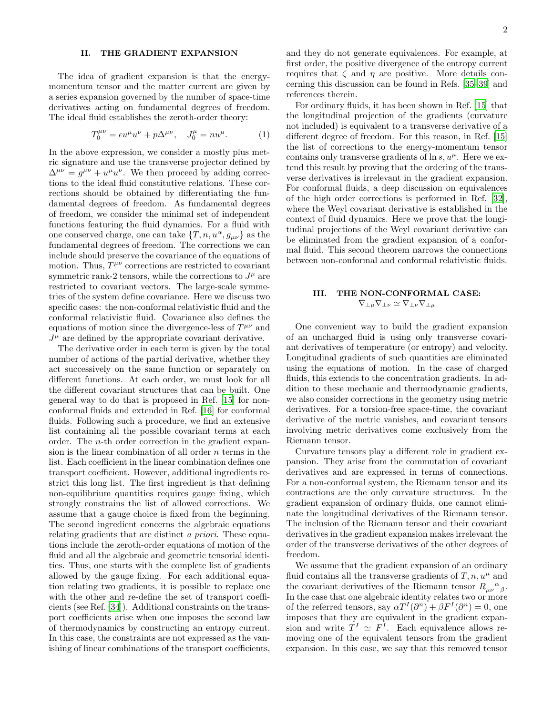## II. THE GRADIENT EXPANSION

The idea of gradient expansion is that the energymomentum tensor and the matter current are given by a series expansion governed by the number of space-time derivatives acting on fundamental degrees of freedom. The ideal fluid establishes the zeroth-order theory:

$$
T_0^{\mu\nu} = \epsilon u^{\mu} u^{\nu} + p \Delta^{\mu\nu}, \quad J_0^{\mu} = n u^{\mu}.
$$
 (1)

In the above expression, we consider a mostly plus metric signature and use the transverse projector defined by  $\Delta^{\mu\nu} = g^{\mu\nu} + u^{\mu}u^{\nu}$ . We then proceed by adding corrections to the ideal fluid constitutive relations. These corrections should be obtained by differentiating the fundamental degrees of freedom. As fundamental degrees of freedom, we consider the minimal set of independent functions featuring the fluid dynamics. For a fluid with one conserved charge, one can take  $\{T, n, u^{\alpha}, g_{\mu\nu}\}\)$  as the fundamental degrees of freedom. The corrections we can include should preserve the covariance of the equations of motion. Thus,  $T^{\mu\nu}$  corrections are restricted to covariant symmetric rank-2 tensors, while the corrections to  $J^{\mu}$  are restricted to covariant vectors. The large-scale symmetries of the system define covariance. Here we discuss two specific cases: the non-conformal relativistic fluid and the conformal relativistic fluid. Covariance also defines the equations of motion since the divergence-less of  $T^{\mu\nu}$  and  $J^{\mu}$  are defined by the appropriate covariant derivative.

The derivative order in each term is given by the total number of actions of the partial derivative, whether they act successively on the same function or separately on different functions. At each order, we must look for all the different covariant structures that can be built. One general way to do that is proposed in Ref. [\[15\]](#page-5-5) for nonconformal fluids and extended in Ref. [\[16\]](#page-5-6) for conformal fluids. Following such a procedure, we find an extensive list containing all the possible covariant terms at each order. The n-th order correction in the gradient expansion is the linear combination of all order  $n$  terms in the list. Each coefficient in the linear combination defines one transport coefficient. However, additional ingredients restrict this long list. The first ingredient is that defining non-equilibrium quantities requires gauge fixing, which strongly constrains the list of allowed corrections. We assume that a gauge choice is fixed from the beginning. The second ingredient concerns the algebraic equations relating gradients that are distinct a priori. These equations include the zeroth-order equations of motion of the fluid and all the algebraic and geometric tensorial identities. Thus, one starts with the complete list of gradients allowed by the gauge fixing. For each additional equation relating two gradients, it is possible to replace one with the other and re-define the set of transport coefficients (see Ref. [\[34\]](#page-5-19)). Additional constraints on the transport coefficients arise when one imposes the second law of thermodynamics by constructing an entropy current. In this case, the constraints are not expressed as the vanishing of linear combinations of the transport coefficients,

and they do not generate equivalences. For example, at first order, the positive divergence of the entropy current requires that  $\zeta$  and  $\eta$  are positive. More details concerning this discussion can be found in Refs. [\[35](#page-5-20)[–39](#page-5-21)] and references therein.

For ordinary fluids, it has been shown in Ref. [\[15](#page-5-5)] that the longitudinal projection of the gradients (curvature not included) is equivalent to a transverse derivative of a different degree of freedom. For this reason, in Ref. [\[15](#page-5-5)] the list of corrections to the energy-momentum tensor contains only transverse gradients of  $\ln s$ ,  $u^{\mu}$ . Here we extend this result by proving that the ordering of the transverse derivatives is irrelevant in the gradient expansion. For conformal fluids, a deep discussion on equivalences of the high order corrections is performed in Ref. [\[32\]](#page-5-22), where the Weyl covariant derivative is established in the context of fluid dynamics. Here we prove that the longitudinal projections of the Weyl covariant derivative can be eliminated from the gradient expansion of a conformal fluid. This second theorem narrows the connections between non-conformal and conformal relativistic fluids.

# III. THE NON-CONFORMAL CASE:  $\nabla_{\perp\mu}\nabla_{\perp\nu}\simeq\nabla_{\perp\nu}\nabla_{\perp\mu}$

One convenient way to build the gradient expansion of an uncharged fluid is using only transverse covariant derivatives of temperature (or entropy) and velocity. Longitudinal gradients of such quantities are eliminated using the equations of motion. In the case of charged fluids, this extends to the concentration gradients. In addition to these mechanic and thermodynamic gradients, we also consider corrections in the geometry using metric derivatives. For a torsion-free space-time, the covariant derivative of the metric vanishes, and covariant tensors involving metric derivatives come exclusively from the Riemann tensor.

Curvature tensors play a different role in gradient expansion. They arise from the commutation of covariant derivatives and are expressed in terms of connections. For a non-conformal system, the Riemann tensor and its contractions are the only curvature structures. In the gradient expansion of ordinary fluids, one cannot eliminate the longitudinal derivatives of the Riemann tensor. The inclusion of the Riemann tensor and their covariant derivatives in the gradient expansion makes irrelevant the order of the transverse derivatives of the other degrees of freedom.

We assume that the gradient expansion of an ordinary fluid contains all the transverse gradients of  $T, n, u^{\mu}$  and the covariant derivatives of the Riemann tensor  $R_{\mu\nu}^{\alpha}{}_{\beta}$ . In the case that one algebraic identity relates two or more of the referred tensors, say  $\alpha T^{I}(\partial^{n}) + \beta F^{I}(\partial^{n}) = 0$ , one imposes that they are equivalent in the gradient expansion and write  $T^I \simeq F^I$ . Each equivalence allows removing one of the equivalent tensors from the gradient expansion. In this case, we say that this removed tensor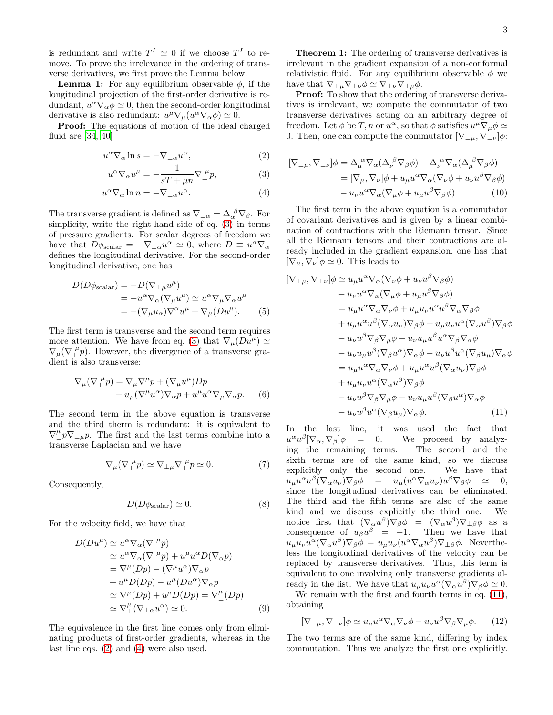is redundant and write  $T^I \simeq 0$  if we choose  $T^I$  to remove. To prove the irrelevance in the ordering of transverse derivatives, we first prove the Lemma below.

**Lemma 1:** For any equilibrium observable  $\phi$ , if the longitudinal projection of the first-order derivative is redundant,  $u^{\alpha} \nabla_{\alpha} \phi \simeq 0$ , then the second-order longitudinal derivative is also redundant:  $u^{\mu} \nabla_{\mu} (u^{\alpha} \nabla_{\alpha} \phi) \simeq 0.$ 

Proof: The equations of motion of the ideal charged fluid are [\[34](#page-5-19), [40](#page-5-23)]

$$
u^{\alpha}\nabla_{\alpha}\ln s = -\nabla_{\perp\alpha}u^{\alpha},\tag{2}
$$

$$
u^{\alpha}\nabla_{\alpha}u^{\mu} = -\frac{1}{sT + \mu n}\nabla_{\perp}^{\ \mu}p,\tag{3}
$$

$$
u^{\alpha} \nabla_{\alpha} \ln n = -\nabla_{\perp \alpha} u^{\alpha}.
$$
 (4)

The transverse gradient is defined as  $\nabla_{\perp \alpha} = \Delta_{\alpha}^{\ \beta} \nabla_{\beta}$ . For simplicity, write the right-hand side of eq. [\(3\)](#page-2-0) in terms of pressure gradients. For scalar degrees of freedom we have that  $D\phi_{\text{scalar}} = -\nabla_{\perp \alpha} u^{\alpha} \simeq 0$ , where  $D \equiv u^{\alpha} \nabla_{\alpha}$ defines the longitudinal derivative. For the second-order longitudinal derivative, one has

$$
D(D\phi_{\text{scalar}}) = -D(\nabla_{\perp\mu}u^{\mu})
$$
  
=  $-u^{\alpha}\nabla_{\alpha}(\nabla_{\mu}u^{\mu}) \simeq u^{\alpha}\nabla_{\mu}\nabla_{\alpha}u^{\mu}$   
=  $-(\nabla_{\mu}u_{\alpha})\nabla^{\alpha}u^{\mu} + \nabla_{\mu}(Du^{\mu}).$  (5)

The first term is transverse and the second term requires more attention. We have from eq. [\(3\)](#page-2-0) that  $\nabla_{\mu}(Du^{\mu}) \simeq$  $\nabla_{\mu}(\nabla_{\mu}^{\mu}p)$ . However, the divergence of a transverse gradient is also transverse:

$$
\nabla_{\mu}(\nabla_{\perp}^{\ \mu}p) = \nabla_{\mu}\nabla^{\mu}p + (\nabla_{\mu}u^{\mu})Dp + u_{\mu}(\nabla^{\mu}u^{\alpha})\nabla_{\alpha}p + u^{\mu}u^{\alpha}\nabla_{\mu}\nabla_{\alpha}p.
$$
 (6)

The second term in the above equation is transverse and the third therm is redundant: it is equivalent to  $\nabla^{\mu}_{\perp} p \nabla_{\perp \mu} p$ . The first and the last terms combine into a transverse Laplacian and we have

$$
\nabla_{\mu}(\nabla_{\perp}^{\ \mu}p) \simeq \nabla_{\perp\mu}\nabla_{\perp}^{\ \mu}p \simeq 0. \tag{7}
$$

Consequently,

$$
D(D\phi_{\text{scalar}}) \simeq 0. \tag{8}
$$

For the velocity field, we have that

$$
D(Du^{\mu}) \simeq u^{\alpha} \nabla_{\alpha} (\nabla_{\perp}^{\mu} p)
$$
  
\n
$$
\simeq u^{\alpha} \nabla_{\alpha} (\nabla^{\mu} p) + u^{\mu} u^{\alpha} D(\nabla_{\alpha} p)
$$
  
\n
$$
= \nabla^{\mu} (Dp) - (\nabla^{\mu} u^{\alpha}) \nabla_{\alpha} p
$$
  
\n
$$
+ u^{\mu} D(Dp) - u^{\mu} (Du^{\alpha}) \nabla_{\alpha} p
$$
  
\n
$$
\simeq \nabla^{\mu} (Dp) + u^{\mu} D(Dp) = \nabla^{\mu}_{\perp} (Dp)
$$
  
\n
$$
\simeq \nabla^{\mu}_{\perp} (\nabla_{\perp \alpha} u^{\alpha}) \simeq 0.
$$
 (9)

The equivalence in the first line comes only from eliminating products of first-order gradients, whereas in the last line eqs. [\(2\)](#page-2-1) and [\(4\)](#page-2-2) were also used.

Theorem 1: The ordering of transverse derivatives is irrelevant in the gradient expansion of a non-conformal relativistic fluid. For any equilibrium observable  $\phi$  we have that  $\nabla_{\perp\mu}\nabla_{\perp\nu}\phi \simeq \nabla_{\perp\nu}\nabla_{\perp\mu}\phi$ .

Proof: To show that the ordering of transverse derivatives is irrelevant, we compute the commutator of two transverse derivatives acting on an arbitrary degree of freedom. Let  $\phi$  be T, n or  $u^{\alpha}$ , so that  $\phi$  satisfies  $u^{\mu} \nabla_{\mu} \phi \simeq$ 0. Then, one can compute the commutator  $[\nabla_{\perp \mu}, \nabla_{\perp \nu}]\phi$ :

<span id="page-2-1"></span><span id="page-2-0"></span>
$$
[\nabla_{\perp\mu}, \nabla_{\perp\nu}]\phi = \Delta_{\mu}^{\ \alpha} \nabla_{\alpha} (\Delta_{\nu}^{\ \beta} \nabla_{\beta} \phi) - \Delta_{\nu}^{\ \alpha} \nabla_{\alpha} (\Delta_{\mu}^{\ \beta} \nabla_{\beta} \phi)
$$
  
\n
$$
= [\nabla_{\mu}, \nabla_{\nu}]\phi + u_{\mu} u^{\alpha} \nabla_{\alpha} (\nabla_{\nu} \phi + u_{\nu} u^{\beta} \nabla_{\beta} \phi)
$$
  
\n
$$
- u_{\nu} u^{\alpha} \nabla_{\alpha} (\nabla_{\mu} \phi + u_{\mu} u^{\beta} \nabla_{\beta} \phi)
$$
 (10)

<span id="page-2-2"></span>The first term in the above equation is a commutator of covariant derivatives and is given by a linear combination of contractions with the Riemann tensor. Since all the Riemann tensors and their contractions are already included in the gradient expansion, one has that  $[\nabla_{\mu}, \nabla_{\nu}] \phi \simeq 0$ . This leads to

$$
[\nabla_{\perp\mu}, \nabla_{\perp\nu}]\phi \simeq u_{\mu}u^{\alpha}\nabla_{\alpha}(\nabla_{\nu}\phi + u_{\nu}u^{\beta}\nabla_{\beta}\phi) \n- u_{\nu}u^{\alpha}\nabla_{\alpha}(\nabla_{\mu}\phi + u_{\mu}u^{\beta}\nabla_{\beta}\phi) \n= u_{\mu}u^{\alpha}\nabla_{\alpha}\nabla_{\nu}\phi + u_{\mu}u_{\nu}u^{\alpha}u^{\beta}\nabla_{\alpha}\nabla_{\beta}\phi \n+ u_{\mu}u^{\alpha}u^{\beta}(\nabla_{\alpha}u_{\nu})\nabla_{\beta}\phi + u_{\mu}u_{\nu}u^{\alpha}(\nabla_{\alpha}u^{\beta})\nabla_{\beta}\phi \n- u_{\nu}u^{\beta}\nabla_{\beta}\nabla_{\mu}\phi - u_{\nu}u_{\mu}u^{\beta}u^{\alpha}\nabla_{\beta}\nabla_{\alpha}\phi \n- u_{\nu}u_{\mu}u^{\beta}(\nabla_{\beta}u^{\alpha})\nabla_{\alpha}\phi - u_{\nu}u^{\beta}u^{\alpha}(\nabla_{\beta}u_{\mu})\nabla_{\alpha}\phi \n= u_{\mu}u^{\alpha}\nabla_{\alpha}\nabla_{\nu}\phi + u_{\mu}u^{\alpha}u^{\beta}(\nabla_{\alpha}u_{\nu})\nabla_{\beta}\phi \n+ u_{\mu}u_{\nu}u^{\alpha}(\nabla_{\alpha}u^{\beta})\nabla_{\beta}\phi \n- u_{\nu}u^{\beta}\nabla_{\beta}\nabla_{\mu}\phi - u_{\nu}u_{\mu}u^{\beta}(\nabla_{\beta}u^{\alpha})\nabla_{\alpha}\phi \n- u_{\nu}u^{\beta}u^{\alpha}(\nabla_{\beta}u_{\mu})\nabla_{\alpha}\phi.
$$
\n(11)

<span id="page-2-3"></span>In the last line, it was used the fact that  $u^{\alpha}u^{\beta}$  $= 0.$  We proceed by analyzing the remaining terms. The second and the sixth terms are of the same kind, so we discuss explicitly only the second one. We have that  $u_{\mu}u^{\alpha}u^{\beta}(\nabla_{\alpha}u_{\nu})\nabla_{\beta}\phi = u_{\mu}(u^{\alpha}\nabla_{\alpha}u_{\nu})u^{\beta}\nabla_{\beta}\phi \quad \simeq \quad 0,$ since the longitudinal derivatives can be eliminated. The third and the fifth terms are also of the same kind and we discuss explicitly the third one. We notice first that  $(\nabla_{\alpha}u^{\beta})\nabla_{\beta}\phi = (\nabla_{\alpha}u^{\beta})\nabla_{\perp\beta}\phi$  as a consequence of  $u_{\beta}u^{\beta} = -1$ . Then we have that  $u_{\mu}u_{\nu}u^{\alpha}(\nabla_{\alpha}u^{\beta})\nabla_{\beta}\phi = u_{\mu}u_{\nu}(u^{\alpha}\nabla_{\alpha}u^{\beta})\nabla_{\perp\beta}\phi.$  Nevertheless the longitudinal derivatives of the velocity can be replaced by transverse derivatives. Thus, this term is equivalent to one involving only transverse gradients already in the list. We have that  $u_{\mu}u_{\nu}u^{\alpha}(\nabla_{\alpha}u^{\beta})\nabla_{\beta}\phi \simeq 0.$ 

We remain with the first and fourth terms in eq.  $(11)$ , obtaining

$$
[\nabla_{\perp\mu}, \nabla_{\perp\nu}]\phi \simeq u_{\mu}u^{\alpha}\nabla_{\alpha}\nabla_{\nu}\phi - u_{\nu}u^{\beta}\nabla_{\beta}\nabla_{\mu}\phi. \qquad (12)
$$

The two terms are of the same kind, differing by index commutation. Thus we analyze the first one explicitly.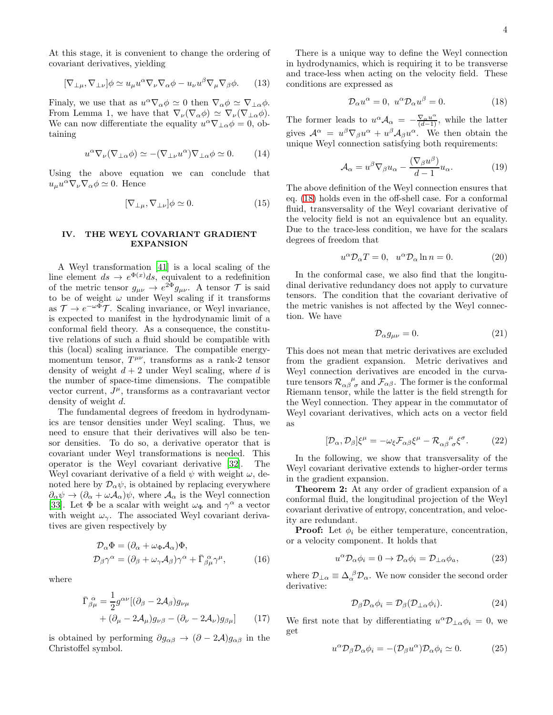At this stage, it is convenient to change the ordering of covariant derivatives, yielding

$$
[\nabla_{\perp\mu}, \nabla_{\perp\nu}]\phi \simeq u_{\mu}u^{\alpha}\nabla_{\nu}\nabla_{\alpha}\phi - u_{\nu}u^{\beta}\nabla_{\mu}\nabla_{\beta}\phi. \qquad (13)
$$

Finaly, we use that as  $u^{\alpha}\nabla_{\alpha}\phi \simeq 0$  then  $\nabla_{\alpha}\phi \simeq \nabla_{\perp \alpha}\phi$ . From Lemma 1, we have that  $\nabla_{\nu}(\nabla_{\alpha}\phi) \simeq \nabla_{\nu}(\nabla_{\perp\alpha}\phi)$ . We can now differentiate the equality  $u^{\alpha}\nabla_{\perp\alpha}\phi = 0$ , obtaining

$$
u^{\alpha}\nabla_{\nu}(\nabla_{\perp\alpha}\phi) \simeq -(\nabla_{\perp\nu}u^{\alpha})\nabla_{\perp\alpha}\phi \simeq 0. \qquad (14)
$$

Using the above equation we can conclude that  $u_{\mu}u^{\alpha}\nabla_{\nu}\nabla_{\alpha}\phi \simeq 0$ . Hence

$$
[\nabla_{\perp \mu}, \nabla_{\perp \nu}]\phi \simeq 0. \tag{15}
$$

## IV. THE WEYL COVARIANT GRADIENT EXPANSION

A Weyl transformation [\[41\]](#page-5-24) is a local scaling of the line element  $ds \to e^{\Phi(x)}ds$ , equivalent to a redefinition of the metric tensor  $g_{\mu\nu} \to e^{2\Phi} g_{\mu\nu}$ . A tensor  $\mathcal{T}$  is said to be of weight  $\omega$  under Weyl scaling if it transforms as  $\mathcal{T} \to e^{-\omega \Phi} \mathcal{T}$ . Scaling invariance, or Weyl invariance, is expected to manifest in the hydrodynamic limit of a conformal field theory. As a consequence, the constitutive relations of such a fluid should be compatible with this (local) scaling invariance. The compatible energymomentum tensor,  $T^{\mu\nu}$ , transforms as a rank-2 tensor density of weight  $d + 2$  under Weyl scaling, where d is the number of space-time dimensions. The compatible vector current,  $J^{\mu}$ , transforms as a contravariant vector density of weight d.

The fundamental degrees of freedom in hydrodynamics are tensor densities under Weyl scaling. Thus, we need to ensure that their derivatives will also be tensor densities. To do so, a derivative operator that is covariant under Weyl transformations is needed. This operator is the Weyl covariant derivative [\[32\]](#page-5-22). The Weyl covariant derivative of a field  $\psi$  with weight  $\omega$ , denoted here by  $\mathcal{D}_{\alpha}\psi$ , is obtained by replacing everywhere  $\partial_{\alpha}\psi \to (\partial_{\alpha} + \omega A_{\alpha})\psi$ , where  $\mathcal{A}_{\alpha}$  is the Weyl connection [\[33\]](#page-5-18). Let  $\Phi$  be a scalar with weight  $\omega_{\Phi}$  and  $\gamma^{\alpha}$  a vector with weight  $\omega_{\gamma}$ . The associated Weyl covariant derivatives are given respectively by

$$
\mathcal{D}_{\alpha}\Phi = (\partial_{\alpha} + \omega_{\Phi}\mathcal{A}_{\alpha})\Phi,
$$
  
\n
$$
\mathcal{D}_{\beta}\gamma^{\alpha} = (\partial_{\beta} + \omega_{\gamma}\mathcal{A}_{\beta})\gamma^{\alpha} + \bar{\Gamma}_{\beta\mu}^{\alpha}\gamma^{\mu},
$$
\n(16)

where

$$
\begin{split} \bar{\Gamma}^{\ \alpha}_{\beta\mu} &= \frac{1}{2} g^{\alpha\nu} [(\partial_{\beta} - 2\mathcal{A}_{\beta}) g_{\nu\mu} \\ &+ (\partial_{\mu} - 2\mathcal{A}_{\mu}) g_{\nu\beta} - (\partial_{\nu} - 2\mathcal{A}_{\nu}) g_{\beta\mu}] \end{split} \tag{17}
$$

is obtained by performing  $\partial g_{\alpha\beta} \to (\partial - 2\mathcal{A})g_{\alpha\beta}$  in the Christoffel symbol.

There is a unique way to define the Weyl connection in hydrodynamics, which is requiring it to be transverse and trace-less when acting on the velocity field. These conditions are expressed as

<span id="page-3-0"></span>
$$
\mathcal{D}_{\alpha}u^{\alpha} = 0, \ u^{\alpha}\mathcal{D}_{\alpha}u^{\beta} = 0. \qquad (18)
$$

The former leads to  $u^{\alpha} A_{\alpha} = -\frac{\nabla_{\alpha} u^{\alpha}}{(d-1)}$ , while the latter gives  $\mathcal{A}^{\alpha} = u^{\beta} \nabla_{\beta} u^{\alpha} + u^{\beta} \mathcal{A}_{\beta} u^{\alpha}$ . We then obtain the unique Weyl connection satisfying both requirements:

$$
\mathcal{A}_{\alpha} = u^{\beta} \nabla_{\beta} u_{\alpha} - \frac{(\nabla_{\beta} u^{\beta})}{d - 1} u_{\alpha}.
$$
 (19)

The above definition of the Weyl connection ensures that eq. [\(18\)](#page-3-0) holds even in the off-shell case. For a conformal fluid, transversality of the Weyl covariant derivative of the velocity field is not an equivalence but an equality. Due to the trace-less condition, we have for the scalars degrees of freedom that

$$
u^{\alpha} \mathcal{D}_{\alpha} T = 0, \quad u^{\alpha} \mathcal{D}_{\alpha} \ln n = 0. \tag{20}
$$

In the conformal case, we also find that the longitudinal derivative redundancy does not apply to curvature tensors. The condition that the covariant derivative of the metric vanishes is not affected by the Weyl connection. We have

$$
\mathcal{D}_{\alpha}g_{\mu\nu}=0.\tag{21}
$$

This does not mean that metric derivatives are excluded from the gradient expansion. Metric derivatives and Weyl connection derivatives are encoded in the curvature tensors  $\mathcal{R}_{\alpha\beta}^{\mu\nu}$  and  $\mathcal{F}_{\alpha\beta}$ . The former is the conformal Riemann tensor, while the latter is the field strength for the Weyl connection. They appear in the commutator of Weyl covariant derivatives, which acts on a vector field as

<span id="page-3-1"></span>
$$
[\mathcal{D}_{\alpha}, \mathcal{D}_{\beta}]\xi^{\mu} = -\omega_{\xi}\mathcal{F}_{\alpha\beta}\xi^{\mu} - \mathcal{R}_{\alpha\beta}^{\ \ \mu}_{\sigma}\xi^{\sigma}.
$$
 (22)

In the following, we show that transversality of the Weyl covariant derivative extends to higher-order terms in the gradient expansion.

Theorem 2: At any order of gradient expansion of a conformal fluid, the longitudinal projection of the Weyl covariant derivative of entropy, concentration, and velocity are redundant.

**Proof:** Let  $\phi_i$  be either temperature, concentration, or a velocity component. It holds that

$$
u^{\alpha} \mathcal{D}_{\alpha} \phi_i = 0 \to \mathcal{D}_{\alpha} \phi_i = \mathcal{D}_{\perp \alpha} \phi_a, \tag{23}
$$

where  $\mathcal{D}_{\perp \alpha} \equiv \Delta_\alpha^{\ \beta} \mathcal{D}_\alpha$ . We now consider the second order derivative:

$$
\mathcal{D}_{\beta}\mathcal{D}_{\alpha}\phi_i = \mathcal{D}_{\beta}(\mathcal{D}_{\perp\alpha}\phi_i). \tag{24}
$$

We first note that by differentiating  $u^{\alpha} \mathcal{D}_{\perp \alpha} \phi_i = 0$ , we get

<span id="page-3-2"></span>
$$
u^{\alpha} \mathcal{D}_{\beta} \mathcal{D}_{\alpha} \phi_i = -(\mathcal{D}_{\beta} u^{\alpha}) \mathcal{D}_{\alpha} \phi_i \simeq 0. \tag{25}
$$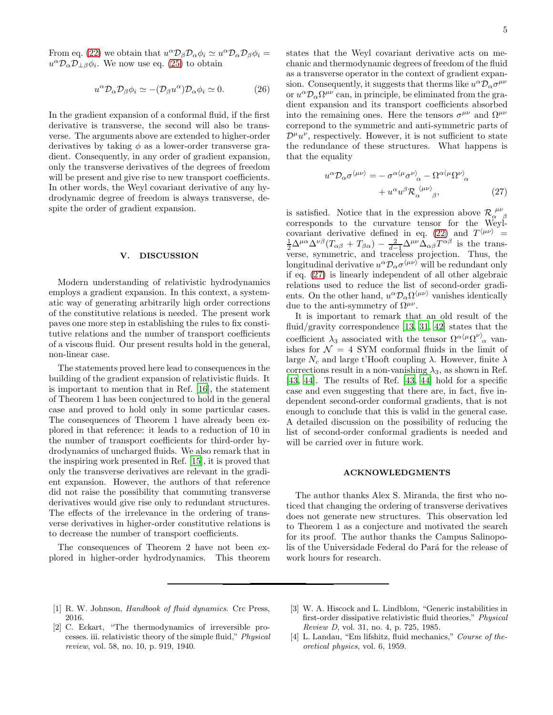From eq. [\(22\)](#page-3-1) we obtain that  $u^{\alpha} \mathcal{D}_{\beta} \mathcal{D}_{\alpha} \phi_i \simeq u^{\alpha} \mathcal{D}_{\alpha} \mathcal{D}_{\beta} \phi_i =$  $u^{\alpha} \mathcal{D}_{\alpha} \mathcal{D}_{\alpha} \phi_i$ . We now use eq. [\(25\)](#page-3-2) to obtain

$$
u^{\alpha} \mathcal{D}_{\alpha} \mathcal{D}_{\beta} \phi_i \simeq -(\mathcal{D}_{\beta} u^{\alpha}) \mathcal{D}_{\alpha} \phi_i \simeq 0. \qquad (26)
$$

In the gradient expansion of a conformal fluid, if the first derivative is transverse, the second will also be transverse. The arguments above are extended to higher-order derivatives by taking  $\phi$  as a lower-order transverse gradient. Consequently, in any order of gradient expansion, only the transverse derivatives of the degrees of freedom will be present and give rise to new transport coefficients. In other words, the Weyl covariant derivative of any hydrodynamic degree of freedom is always transverse, despite the order of gradient expansion.

#### V. DISCUSSION

Modern understanding of relativistic hydrodynamics employs a gradient expansion. In this context, a systematic way of generating arbitrarily high order corrections of the constitutive relations is needed. The present work paves one more step in establishing the rules to fix constitutive relations and the number of transport coefficients of a viscous fluid. Our present results hold in the general, non-linear case.

The statements proved here lead to consequences in the building of the gradient expansion of relativistic fluids. It is important to mention that in Ref. [\[16\]](#page-5-6), the statement of Theorem 1 has been conjectured to hold in the general case and proved to hold only in some particular cases. The consequences of Theorem 1 have already been explored in that reference: it leads to a reduction of 10 in the number of transport coefficients for third-order hydrodynamics of uncharged fluids. We also remark that in the inspiring work presented in Ref. [\[15](#page-5-5)], it is proved that only the transverse derivatives are relevant in the gradient expansion. However, the authors of that reference did not raise the possibility that commuting transverse derivatives would give rise only to redundant structures. The effects of the irrelevance in the ordering of transverse derivatives in higher-order constitutive relations is to decrease the number of transport coefficients.

The consequences of Theorem 2 have not been explored in higher-order hydrodynamics. This theorem states that the Weyl covariant derivative acts on mechanic and thermodynamic degrees of freedom of the fluid as a transverse operator in the context of gradient expansion. Consequently, it suggests that therms like  $u^{\alpha} \mathcal{D}_{\alpha} \sigma^{\mu \nu}$ or  $u^{\alpha} \mathcal{D}_{\alpha} \Omega^{\mu \nu}$  can, in principle, be eliminated from the gradient expansion and its transport coefficients absorbed into the remaining ones. Here the tensors  $\sigma^{\mu\nu}$  and  $\Omega^{\mu\nu}$ correpond to the symmetric and anti-symmetric parts of  $\mathcal{D}^{\mu}u^{\nu}$ , respectively. However, it is not sufficient to state the redundance of these structures. What happens is that the equality

<span id="page-4-2"></span>
$$
u^{\alpha} \mathcal{D}_{\alpha} \sigma^{\langle \mu \nu \rangle} = - \sigma^{\alpha \langle \mu} \sigma^{\nu \rangle}_{\alpha} - \Omega^{\alpha \langle \mu} \Omega^{\nu \rangle}_{\alpha} + u^{\alpha} u^{\beta} \mathcal{R}_{\alpha}^{\langle \mu \nu \rangle}_{\beta}, \tag{27}
$$

is satisfied. Notice that in the expression above  $\mathcal{R}_{\alpha \beta}^{\mu\nu}$  corresponds to the curvature tensor for the Weyl-covariant derivative defined in eq. [\(22\)](#page-3-1) and  $T^{\langle\mu\nu\rangle}$  =  $\frac{1}{2}\Delta^{\mu\alpha}\Delta^{\nu\beta}(T_{\alpha\beta}+T_{\beta\alpha})-\frac{2}{d-1}\Delta^{\mu\nu}\Delta_{\alpha\beta}T^{\alpha\beta}$  is the transverse, symmetric, and traceless projection. Thus, the longitudinal derivative  $u^{\alpha} \mathcal{D}_{\alpha} \sigma^{\langle \mu \nu \rangle}$  will be redundant only if eq. [\(27\)](#page-4-2) is linearly independent of all other algebraic relations used to reduce the list of second-order gradients. On the other hand,  $u^{\alpha} \mathcal{D}_{\alpha} \Omega^{\langle \mu \nu \rangle}$  vanishes identically due to the anti-symmetry of  $\Omega^{\mu\nu}$ .

It is important to remark that an old result of the fluid/gravity correspondence [\[13](#page-5-25), [31,](#page-5-17) [42](#page-5-26)] states that the coefficient  $\lambda_3$  associated with the tensor  $\Omega^{\alpha(\mu\Omega^{\nu)}\alpha}$  vanishes for  $\mathcal{N} = 4$  SYM conformal fluids in the limit of large  $N_c$  and large t'Hooft coupling  $\lambda$ . However, finite  $\lambda$ corrections result in a non-vanishing  $\lambda_3$ , as shown in Ref. [\[43,](#page-5-27) [44\]](#page-5-28). The results of Ref. [\[43](#page-5-27), [44\]](#page-5-28) hold for a specific case and even suggesting that there are, in fact, five independent second-order conformal gradients, that is not enough to conclude that this is valid in the general case. A detailed discussion on the possibility of reducing the list of second-order conformal gradients is needed and will be carried over in future work.

### ACKNOWLEDGMENTS

The author thanks Alex S. Miranda, the first who noticed that changing the ordering of transverse derivatives does not generate new structures. This observation led to Theorem 1 as a conjecture and motivated the search for its proof. The author thanks the Campus Salinopolis of the Universidade Federal do Pará for the release of work hours for research.

- <span id="page-4-0"></span>[1] R. W. Johnson, *Handbook of fluid dynamics*. Crc Press, 2016.
- [3] W. A. Hiscock and L. Lindblom, "Generic instabilities in first-order dissipative relativistic fluid theories," *Physical Review D*, vol. 31, no. 4, p. 725, 1985.
- <span id="page-4-1"></span>[2] C. Eckart, "The thermodynamics of irreversible processes. iii. relativistic theory of the simple fluid," *Physical review*, vol. 58, no. 10, p. 919, 1940.
- [4] L. Landau, "Em lifshitz, fluid mechanics," *Course of theoretical physics*, vol. 6, 1959.